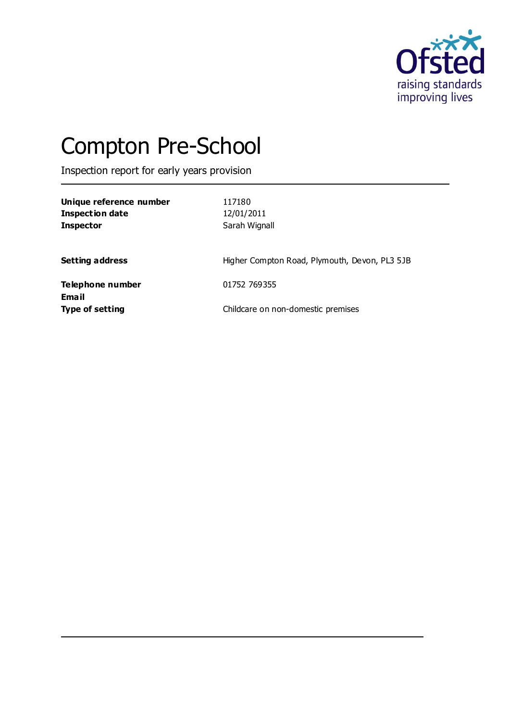

# Compton Pre-School

Inspection report for early years provision

| Unique reference number<br><b>Inspection date</b><br><b>Inspector</b> | 117180<br>12/01/2011<br>Sarah Wignall         |
|-----------------------------------------------------------------------|-----------------------------------------------|
| <b>Setting address</b>                                                | Higher Compton Road, Plymouth, Devon, PL3 5JB |
| <b>Telephone number</b>                                               | 01752 769355                                  |
| <b>Email</b><br><b>Type of setting</b>                                | Childcare on non-domestic premises            |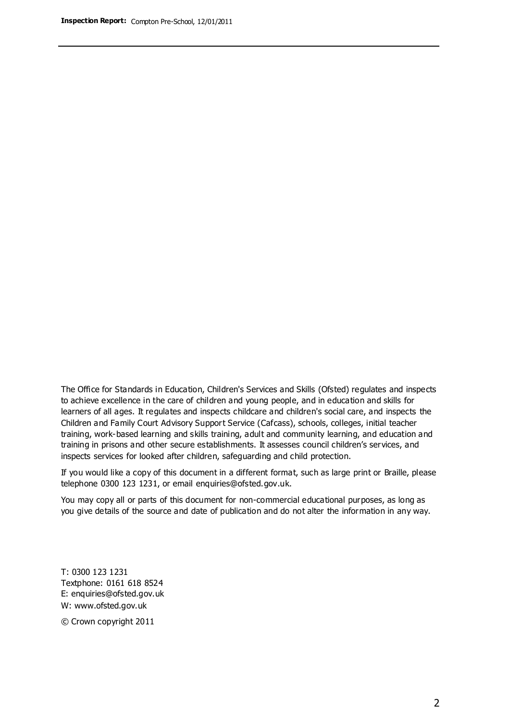The Office for Standards in Education, Children's Services and Skills (Ofsted) regulates and inspects to achieve excellence in the care of children and young people, and in education and skills for learners of all ages. It regulates and inspects childcare and children's social care, and inspects the Children and Family Court Advisory Support Service (Cafcass), schools, colleges, initial teacher training, work-based learning and skills training, adult and community learning, and education and training in prisons and other secure establishments. It assesses council children's services, and inspects services for looked after children, safeguarding and child protection.

If you would like a copy of this document in a different format, such as large print or Braille, please telephone 0300 123 1231, or email enquiries@ofsted.gov.uk.

You may copy all or parts of this document for non-commercial educational purposes, as long as you give details of the source and date of publication and do not alter the information in any way.

T: 0300 123 1231 Textphone: 0161 618 8524 E: enquiries@ofsted.gov.uk W: [www.ofsted.gov.uk](http://www.ofsted.gov.uk/)

© Crown copyright 2011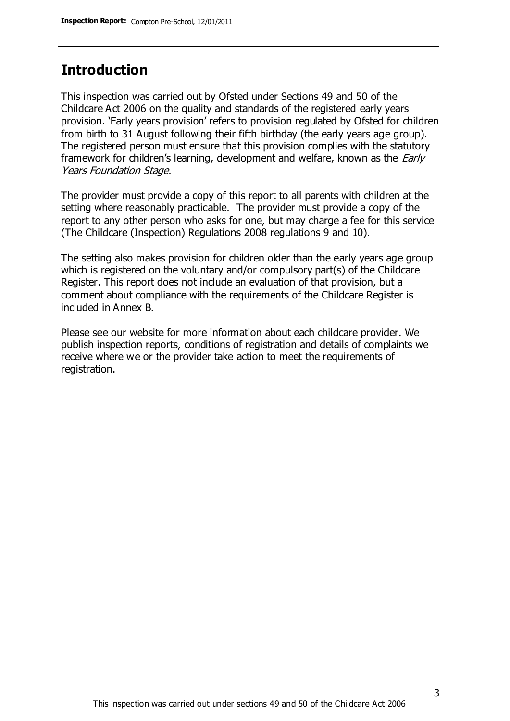## **Introduction**

This inspection was carried out by Ofsted under Sections 49 and 50 of the Childcare Act 2006 on the quality and standards of the registered early years provision. 'Early years provision' refers to provision regulated by Ofsted for children from birth to 31 August following their fifth birthday (the early years age group). The registered person must ensure that this provision complies with the statutory framework for children's learning, development and welfare, known as the *Early* Years Foundation Stage.

The provider must provide a copy of this report to all parents with children at the setting where reasonably practicable. The provider must provide a copy of the report to any other person who asks for one, but may charge a fee for this service (The Childcare (Inspection) Regulations 2008 regulations 9 and 10).

The setting also makes provision for children older than the early years age group which is registered on the voluntary and/or compulsory part(s) of the Childcare Register. This report does not include an evaluation of that provision, but a comment about compliance with the requirements of the Childcare Register is included in Annex B.

Please see our website for more information about each childcare provider. We publish inspection reports, conditions of registration and details of complaints we receive where we or the provider take action to meet the requirements of registration.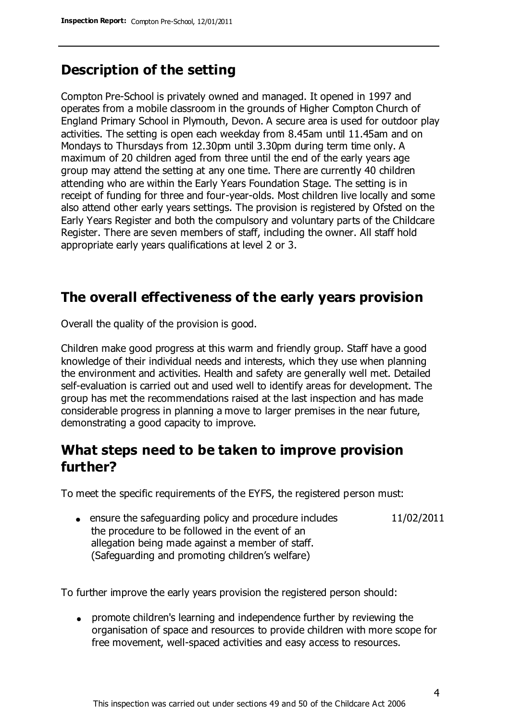# **Description of the setting**

Compton Pre-School is privately owned and managed. It opened in 1997 and operates from a mobile classroom in the grounds of Higher Compton Church of England Primary School in Plymouth, Devon. A secure area is used for outdoor play activities. The setting is open each weekday from 8.45am until 11.45am and on Mondays to Thursdays from 12.30pm until 3.30pm during term time only. A maximum of 20 children aged from three until the end of the early years age group may attend the setting at any one time. There are currently 40 children attending who are within the Early Years Foundation Stage. The setting is in receipt of funding for three and four-year-olds. Most children live locally and some also attend other early years settings. The provision is registered by Ofsted on the Early Years Register and both the compulsory and voluntary parts of the Childcare Register. There are seven members of staff, including the owner. All staff hold appropriate early years qualifications at level 2 or 3.

# **The overall effectiveness of the early years provision**

Overall the quality of the provision is good.

Children make good progress at this warm and friendly group. Staff have a good knowledge of their individual needs and interests, which they use when planning the environment and activities. Health and safety are generally well met. Detailed self-evaluation is carried out and used well to identify areas for development. The group has met the recommendations raised at the last inspection and has made considerable progress in planning a move to larger premises in the near future, demonstrating a good capacity to improve.

## **What steps need to be taken to improve provision further?**

To meet the specific requirements of the EYFS, the registered person must:

• ensure the safeguarding policy and procedure includes the procedure to be followed in the event of an allegation being made against a member of staff. (Safeguarding and promoting children's welfare) 11/02/2011

To further improve the early years provision the registered person should:

promote children's learning and independence further by reviewing the organisation of space and resources to provide children with more scope for free movement, well-spaced activities and easy access to resources.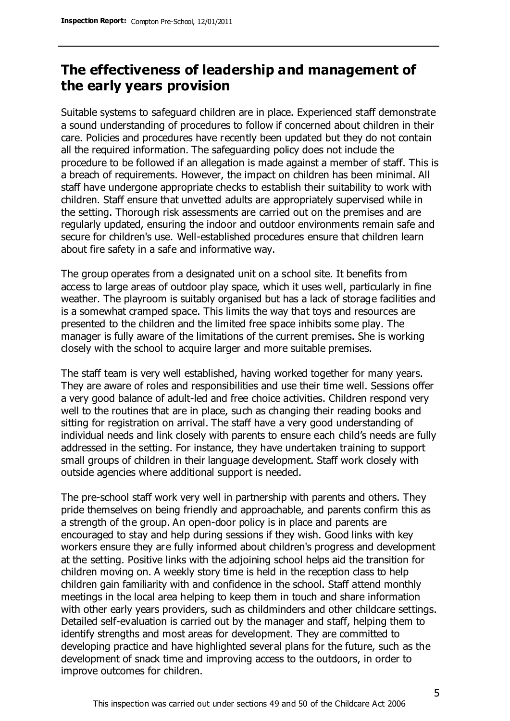## **The effectiveness of leadership and management of the early years provision**

Suitable systems to safeguard children are in place. Experienced staff demonstrate a sound understanding of procedures to follow if concerned about children in their care. Policies and procedures have recently been updated but they do not contain all the required information. The safeguarding policy does not include the procedure to be followed if an allegation is made against a member of staff. This is a breach of requirements. However, the impact on children has been minimal. All staff have undergone appropriate checks to establish their suitability to work with children. Staff ensure that unvetted adults are appropriately supervised while in the setting. Thorough risk assessments are carried out on the premises and are regularly updated, ensuring the indoor and outdoor environments remain safe and secure for children's use. Well-established procedures ensure that children learn about fire safety in a safe and informative way.

The group operates from a designated unit on a school site. It benefits from access to large areas of outdoor play space, which it uses well, particularly in fine weather. The playroom is suitably organised but has a lack of storage facilities and is a somewhat cramped space. This limits the way that toys and resources are presented to the children and the limited free space inhibits some play. The manager is fully aware of the limitations of the current premises. She is working closely with the school to acquire larger and more suitable premises.

The staff team is very well established, having worked together for many years. They are aware of roles and responsibilities and use their time well. Sessions offer a very good balance of adult-led and free choice activities. Children respond very well to the routines that are in place, such as changing their reading books and sitting for registration on arrival. The staff have a very good understanding of individual needs and link closely with parents to ensure each child's needs are fully addressed in the setting. For instance, they have undertaken training to support small groups of children in their language development. Staff work closely with outside agencies where additional support is needed.

The pre-school staff work very well in partnership with parents and others. They pride themselves on being friendly and approachable, and parents confirm this as a strength of the group. An open-door policy is in place and parents are encouraged to stay and help during sessions if they wish. Good links with key workers ensure they are fully informed about children's progress and development at the setting. Positive links with the adjoining school helps aid the transition for children moving on. A weekly story time is held in the reception class to help children gain familiarity with and confidence in the school. Staff attend monthly meetings in the local area helping to keep them in touch and share information with other early years providers, such as childminders and other childcare settings. Detailed self-evaluation is carried out by the manager and staff, helping them to identify strengths and most areas for development. They are committed to developing practice and have highlighted several plans for the future, such as the development of snack time and improving access to the outdoors, in order to improve outcomes for children.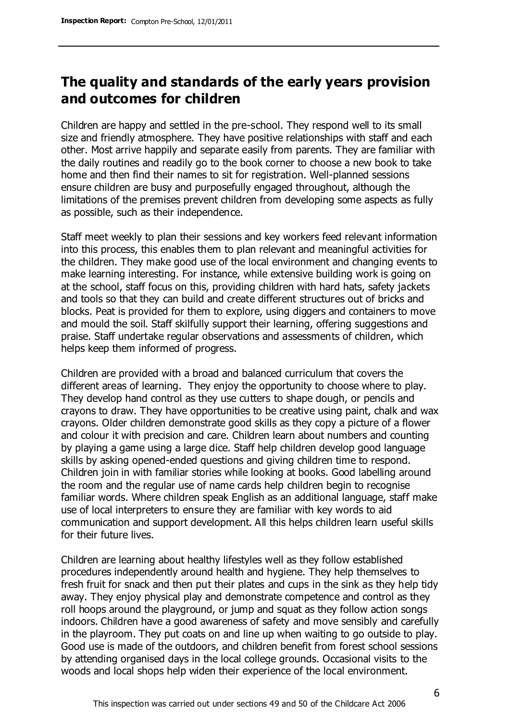## **The quality and standards of the early years provision and outcomes for children**

Children are happy and settled in the pre-school. They respond well to its small size and friendly atmosphere. They have positive relationships with staff and each other. Most arrive happily and separate easily from parents. They are familiar with the daily routines and readily go to the book corner to choose a new book to take home and then find their names to sit for registration. Well-planned sessions ensure children are busy and purposefully engaged throughout, although the limitations of the premises prevent children from developing some aspects as fully as possible, such as their independence.

Staff meet weekly to plan their sessions and key workers feed relevant information into this process, this enables them to plan relevant and meaningful activities for the children. They make good use of the local environment and changing events to make learning interesting. For instance, while extensive building work is going on at the school, staff focus on this, providing children with hard hats, safety jackets and tools so that they can build and create different structures out of bricks and blocks. Peat is provided for them to explore, using diggers and containers to move and mould the soil. Staff skilfully support their learning, offering suggestions and praise. Staff undertake regular observations and assessments of children, which helps keep them informed of progress.

Children are provided with a broad and balanced curriculum that covers the different areas of learning. They enjoy the opportunity to choose where to play. They develop hand control as they use cutters to shape dough, or pencils and crayons to draw. They have opportunities to be creative using paint, chalk and wax crayons. Older children demonstrate good skills as they copy a picture of a flower and colour it with precision and care. Children learn about numbers and counting by playing a game using a large dice. Staff help children develop good language skills by asking opened-ended questions and giving children time to respond. Children join in with familiar stories while looking at books. Good labelling around the room and the regular use of name cards help children begin to recognise familiar words. Where children speak English as an additional language, staff make use of local interpreters to ensure they are familiar with key words to aid communication and support development. All this helps children learn useful skills for their future lives.

Children are learning about healthy lifestyles well as they follow established procedures independently around health and hygiene. They help themselves to fresh fruit for snack and then put their plates and cups in the sink as they help tidy away. They enjoy physical play and demonstrate competence and control as they roll hoops around the playground, or jump and squat as they follow action songs indoors. Children have a good awareness of safety and move sensibly and carefully in the playroom. They put coats on and line up when waiting to go outside to play. Good use is made of the outdoors, and children benefit from forest school sessions by attending organised days in the local college grounds. Occasional visits to the woods and local shops help widen their experience of the local environment.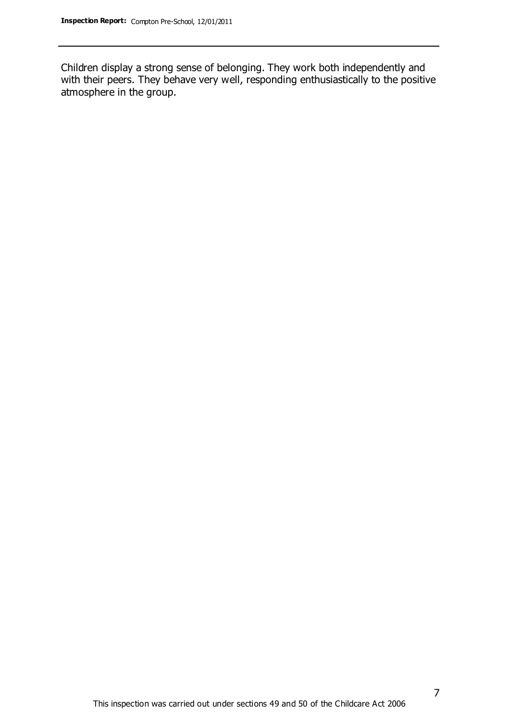Children display a strong sense of belonging. They work both independently and with their peers. They behave very well, responding enthusiastically to the positive atmosphere in the group.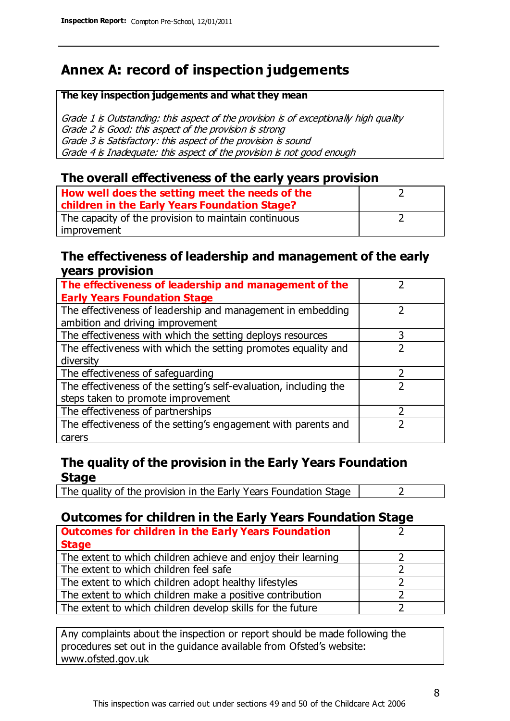# **Annex A: record of inspection judgements**

#### **The key inspection judgements and what they mean**

Grade 1 is Outstanding: this aspect of the provision is of exceptionally high quality Grade 2 is Good: this aspect of the provision is strong Grade 3 is Satisfactory: this aspect of the provision is sound Grade 4 is Inadequate: this aspect of the provision is not good enough

#### **The overall effectiveness of the early years provision**

| How well does the setting meet the needs of the<br>children in the Early Years Foundation Stage? |  |
|--------------------------------------------------------------------------------------------------|--|
| The capacity of the provision to maintain continuous                                             |  |
| improvement                                                                                      |  |

#### **The effectiveness of leadership and management of the early years provision**

| The effectiveness of leadership and management of the             |   |
|-------------------------------------------------------------------|---|
| <b>Early Years Foundation Stage</b>                               |   |
| The effectiveness of leadership and management in embedding       |   |
| ambition and driving improvement                                  |   |
| The effectiveness with which the setting deploys resources        | 3 |
| The effectiveness with which the setting promotes equality and    |   |
| diversity                                                         |   |
| The effectiveness of safeguarding                                 |   |
| The effectiveness of the setting's self-evaluation, including the |   |
| steps taken to promote improvement                                |   |
| The effectiveness of partnerships                                 |   |
| The effectiveness of the setting's engagement with parents and    |   |
| carers                                                            |   |

### **The quality of the provision in the Early Years Foundation Stage**

The quality of the provision in the Early Years Foundation Stage  $\vert$  2

## **Outcomes for children in the Early Years Foundation Stage**

| <b>Outcomes for children in the Early Years Foundation</b>    |  |
|---------------------------------------------------------------|--|
| <b>Stage</b>                                                  |  |
| The extent to which children achieve and enjoy their learning |  |
| The extent to which children feel safe                        |  |
| The extent to which children adopt healthy lifestyles         |  |
| The extent to which children make a positive contribution     |  |
| The extent to which children develop skills for the future    |  |

Any complaints about the inspection or report should be made following the procedures set out in the guidance available from Ofsted's website: www.ofsted.gov.uk